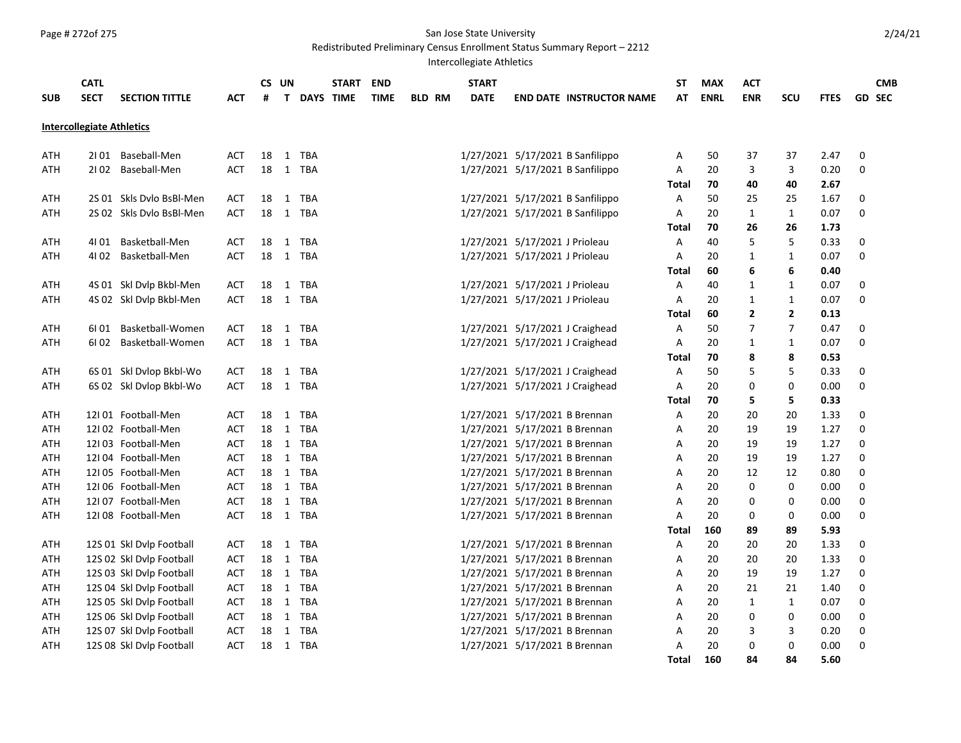# Page # 272of 275 San Jose State University

Redistributed Preliminary Census Enrollment Status Summary Report – 2212

Intercollegiate Athletics

| <b>Intercollegiate Athletics</b><br>Baseball-Men<br>1/27/2021 5/17/2021 B Sanfilippo<br>18<br>TBA<br>50<br>37<br>2.47<br>0<br>ATH<br>2101<br>ACT<br>1<br>Α<br>37<br><b>TBA</b><br>1/27/2021 5/17/2021 B Sanfilippo<br>Baseball-Men<br><b>ACT</b><br>18<br>$\mathbf{1}$<br>A<br>20<br>3<br>3<br>0.20<br>0<br>ATH<br>2102<br>70<br>40<br>2.67<br>Total<br>40<br>1/27/2021 5/17/2021 B Sanfilippo<br>2S 01 Skls Dvlo BsBl-Men<br>18<br>TBA<br>50<br>25<br>1.67<br>0<br>ATH<br>ACT<br>1<br>Α<br>25<br>18<br>0<br>2S 02 Skls Dylo BsBl-Men<br>$\mathbf{1}$<br>TBA<br>1/27/2021 5/17/2021 B Sanfilippo<br>20<br>$\mathbf{1}$<br>0.07<br><b>ATH</b><br><b>ACT</b><br>А<br>1<br>70<br>Total<br>26<br>26<br>1.73<br>Basketball-Men<br>1/27/2021 5/17/2021 J Prioleau<br>5<br>5<br>0<br>18<br>TBA<br>Α<br>40<br>0.33<br>ATH<br>4101<br><b>ACT</b><br>$\mathbf{1}$<br>18<br>1/27/2021 5/17/2021 J Prioleau<br>0<br>Basketball-Men<br><b>ACT</b><br>1 TBA<br>20<br>0.07<br><b>ATH</b><br>4102<br>A<br>$\mathbf{1}$<br>1<br>Total<br>60<br>6<br>0.40<br>6<br>1/27/2021 5/17/2021 J Prioleau<br>4S 01 Skl Dvlp Bkbl-Men<br>18<br>$\mathbf{1}$<br><b>TBA</b><br>Α<br>40<br>$\mathbf{1}$<br>0.07<br>0<br>ATH<br><b>ACT</b><br>1<br>1/27/2021 5/17/2021 J Prioleau<br>4S 02 Skl Dvlp Bkbl-Men<br>18<br>$\mathbf{1}$<br><b>TBA</b><br>$\overline{A}$<br>20<br>$\mathbf{1}$<br>$\mathbf{1}$<br>0.07<br>0<br>ATH<br><b>ACT</b><br>$\overline{2}$<br>$\overline{2}$<br>60<br>0.13<br>Total<br>Basketball-Women<br>1/27/2021 5/17/2021 J Craighead<br>$\overline{7}$<br>18<br>TBA<br>Α<br>50<br>7<br>0.47<br>0<br>ATH<br>6101<br><b>ACT</b><br>$\mathbf{1}$<br>Basketball-Women<br>18<br>1 TBA<br>1/27/2021 5/17/2021 J Craighead<br>A<br>20<br>0.07<br>0<br>ATH<br>6102<br><b>ACT</b><br>1<br>1<br>70<br>8<br>8<br>0.53<br>Total<br>6S 01 Skl Dvlop Bkbl-Wo<br>1/27/2021 5/17/2021 J Craighead<br>50<br>5<br>5<br>0.33<br>0<br>ATH<br><b>ACT</b><br>18<br>$\mathbf{1}$<br>TBA<br>А<br>6S 02 Skl Dvlop Bkbl-Wo<br>18<br>1 TBA<br>1/27/2021 5/17/2021 J Craighead<br>20<br>0<br>0.00<br>0<br><b>ATH</b><br><b>ACT</b><br>A<br>0<br><b>Total</b><br>70<br>5<br>5<br>0.33<br>1/27/2021 5/17/2021 B Brennan<br>12I01 Football-Men<br>18<br>20<br>1.33<br>0<br><b>ACT</b><br>1 TBA<br>Α<br>20<br>20<br>ATH<br>12102 Football-Men<br>18<br>TBA<br>1/27/2021 5/17/2021 B Brennan<br><b>ACT</b><br>$\mathbf{1}$<br>Α<br>20<br>19<br>19<br>1.27<br>0<br>ATH<br>12103 Football-Men<br>18<br>$\mathbf{1}$<br>TBA<br>1/27/2021 5/17/2021 B Brennan<br>20<br>19<br>19<br>1.27<br>0<br>ATH<br><b>ACT</b><br>Α<br>12104 Football-Men<br>18<br>$\mathbf{1}$<br><b>TBA</b><br>1/27/2021 5/17/2021 B Brennan<br>20<br>19<br>19<br>1.27<br>0<br>ATH<br><b>ACT</b><br>Α<br>12I 05 Football-Men<br><b>TBA</b><br>1/27/2021 5/17/2021 B Brennan<br>20<br>12<br>0<br><b>ACT</b><br>18<br>$\mathbf{1}$<br>Α<br>12<br>0.80<br>ATH<br>0<br>0<br>12I 06 Football-Men<br>18<br>$\mathbf{1}$<br>TBA<br>1/27/2021 5/17/2021 B Brennan<br>20<br>0<br>0.00<br>ATH<br><b>ACT</b><br>Α<br>12I 07 Football-Men<br>18<br>1<br>TBA<br>1/27/2021 5/17/2021 B Brennan<br>0<br><b>ATH</b><br><b>ACT</b><br>A<br>20<br>0<br>0<br>0.00<br>12I 08 Football-Men<br>18<br>1 TBA<br>1/27/2021 5/17/2021 B Brennan<br>20<br>0.00<br>0<br>ATH<br><b>ACT</b><br>Α<br>0<br>0<br>160<br>89<br>5.93<br>Total<br>89<br>1/27/2021 5/17/2021 B Brennan<br>12S 01 Skl Dvlp Football<br>18<br><b>TBA</b><br>Α<br>20<br>20<br>20<br>1.33<br>0<br>ATH<br>ACT<br>1<br><b>TBA</b><br>1/27/2021 5/17/2021 B Brennan<br>12S 02 Skl Dvlp Football<br><b>ACT</b><br>18<br>$\mathbf{1}$<br>A<br>20<br>20<br>20<br>1.33<br>0<br>ATH<br>12S 03 Skl Dvlp Football<br>18<br><b>TBA</b><br>1/27/2021 5/17/2021 B Brennan<br>20<br>19<br>19<br>1.27<br>0<br>ATH<br><b>ACT</b><br>1<br>A<br>TBA<br>0<br>12S 04 Skl Dvlp Football<br>18<br>1<br>1/27/2021 5/17/2021 B Brennan<br>20<br>21<br>21<br>1.40<br>ATH<br>ACT<br>Α<br>1/27/2021 5/17/2021 B Brennan<br>0<br>12S 05 Skl Dvlp Football<br><b>ACT</b><br>18<br>$\mathbf{1}$<br>TBA<br>20<br>$\mathbf{1}$<br>$\mathbf{1}$<br>0.07<br>ATH<br>Α<br>12S 06 Skl Dvlp Football<br>TBA<br>1/27/2021 5/17/2021 B Brennan<br>20<br>0<br>0<br><b>ACT</b><br>18<br>$\mathbf{1}$<br>A<br>0<br>0.00<br>ATH<br>12S 07 Skl Dvlp Football<br>TBA<br>1/27/2021 5/17/2021 B Brennan<br>20<br>0<br><b>ACT</b><br>18<br>$\mathbf{1}$<br>Α<br>3<br>3<br>0.20<br>ATH<br>1/27/2021 5/17/2021 B Brennan<br>0.00<br>0<br>12S 08 Skl Dvlp Football<br><b>ACT</b><br>18<br>1 TBA<br>A<br>20<br>0<br>0<br>ATH<br>160<br>5.60<br><b>Total</b><br>84<br>84 | <b>SUB</b> | <b>CATL</b><br><b>SECT</b> | <b>SECTION TITTLE</b> | <b>ACT</b> | <b>CS</b><br># | UN<br>T | DAYS TIME | <b>START</b> | <b>END</b><br><b>TIME</b> | <b>BLD RM</b> | <b>START</b><br><b>DATE</b> | <b>END DATE INSTRUCTOR NAME</b> | SΤ<br>AT | <b>MAX</b><br><b>ENRL</b> | <b>ACT</b><br><b>ENR</b> | SCU | <b>FTES</b> | <b>CMB</b><br><b>GD SEC</b> |
|-----------------------------------------------------------------------------------------------------------------------------------------------------------------------------------------------------------------------------------------------------------------------------------------------------------------------------------------------------------------------------------------------------------------------------------------------------------------------------------------------------------------------------------------------------------------------------------------------------------------------------------------------------------------------------------------------------------------------------------------------------------------------------------------------------------------------------------------------------------------------------------------------------------------------------------------------------------------------------------------------------------------------------------------------------------------------------------------------------------------------------------------------------------------------------------------------------------------------------------------------------------------------------------------------------------------------------------------------------------------------------------------------------------------------------------------------------------------------------------------------------------------------------------------------------------------------------------------------------------------------------------------------------------------------------------------------------------------------------------------------------------------------------------------------------------------------------------------------------------------------------------------------------------------------------------------------------------------------------------------------------------------------------------------------------------------------------------------------------------------------------------------------------------------------------------------------------------------------------------------------------------------------------------------------------------------------------------------------------------------------------------------------------------------------------------------------------------------------------------------------------------------------------------------------------------------------------------------------------------------------------------------------------------------------------------------------------------------------------------------------------------------------------------------------------------------------------------------------------------------------------------------------------------------------------------------------------------------------------------------------------------------------------------------------------------------------------------------------------------------------------------------------------------------------------------------------------------------------------------------------------------------------------------------------------------------------------------------------------------------------------------------------------------------------------------------------------------------------------------------------------------------------------------------------------------------------------------------------------------------------------------------------------------------------------------------------------------------------------------------------------------------------------------------------------------------------------------------------------------------------------------------------------------------------------------------------------------------------------------------------------------------------------------------------------------------------------------------------------------------------------------------------------------------------------------------------------------------------------------------------------------------------------------------------------------------------------------------------------------------------------------------------------------------------------------------------------------------------------------------------------------------------------------------------------------------------------------|------------|----------------------------|-----------------------|------------|----------------|---------|-----------|--------------|---------------------------|---------------|-----------------------------|---------------------------------|----------|---------------------------|--------------------------|-----|-------------|-----------------------------|
|                                                                                                                                                                                                                                                                                                                                                                                                                                                                                                                                                                                                                                                                                                                                                                                                                                                                                                                                                                                                                                                                                                                                                                                                                                                                                                                                                                                                                                                                                                                                                                                                                                                                                                                                                                                                                                                                                                                                                                                                                                                                                                                                                                                                                                                                                                                                                                                                                                                                                                                                                                                                                                                                                                                                                                                                                                                                                                                                                                                                                                                                                                                                                                                                                                                                                                                                                                                                                                                                                                                                                                                                                                                                                                                                                                                                                                                                                                                                                                                                                                                                                                                                                                                                                                                                                                                                                                                                                                                                                                                                                                                   |            |                            |                       |            |                |         |           |              |                           |               |                             |                                 |          |                           |                          |     |             |                             |
|                                                                                                                                                                                                                                                                                                                                                                                                                                                                                                                                                                                                                                                                                                                                                                                                                                                                                                                                                                                                                                                                                                                                                                                                                                                                                                                                                                                                                                                                                                                                                                                                                                                                                                                                                                                                                                                                                                                                                                                                                                                                                                                                                                                                                                                                                                                                                                                                                                                                                                                                                                                                                                                                                                                                                                                                                                                                                                                                                                                                                                                                                                                                                                                                                                                                                                                                                                                                                                                                                                                                                                                                                                                                                                                                                                                                                                                                                                                                                                                                                                                                                                                                                                                                                                                                                                                                                                                                                                                                                                                                                                                   |            |                            |                       |            |                |         |           |              |                           |               |                             |                                 |          |                           |                          |     |             |                             |
|                                                                                                                                                                                                                                                                                                                                                                                                                                                                                                                                                                                                                                                                                                                                                                                                                                                                                                                                                                                                                                                                                                                                                                                                                                                                                                                                                                                                                                                                                                                                                                                                                                                                                                                                                                                                                                                                                                                                                                                                                                                                                                                                                                                                                                                                                                                                                                                                                                                                                                                                                                                                                                                                                                                                                                                                                                                                                                                                                                                                                                                                                                                                                                                                                                                                                                                                                                                                                                                                                                                                                                                                                                                                                                                                                                                                                                                                                                                                                                                                                                                                                                                                                                                                                                                                                                                                                                                                                                                                                                                                                                                   |            |                            |                       |            |                |         |           |              |                           |               |                             |                                 |          |                           |                          |     |             |                             |
|                                                                                                                                                                                                                                                                                                                                                                                                                                                                                                                                                                                                                                                                                                                                                                                                                                                                                                                                                                                                                                                                                                                                                                                                                                                                                                                                                                                                                                                                                                                                                                                                                                                                                                                                                                                                                                                                                                                                                                                                                                                                                                                                                                                                                                                                                                                                                                                                                                                                                                                                                                                                                                                                                                                                                                                                                                                                                                                                                                                                                                                                                                                                                                                                                                                                                                                                                                                                                                                                                                                                                                                                                                                                                                                                                                                                                                                                                                                                                                                                                                                                                                                                                                                                                                                                                                                                                                                                                                                                                                                                                                                   |            |                            |                       |            |                |         |           |              |                           |               |                             |                                 |          |                           |                          |     |             |                             |
|                                                                                                                                                                                                                                                                                                                                                                                                                                                                                                                                                                                                                                                                                                                                                                                                                                                                                                                                                                                                                                                                                                                                                                                                                                                                                                                                                                                                                                                                                                                                                                                                                                                                                                                                                                                                                                                                                                                                                                                                                                                                                                                                                                                                                                                                                                                                                                                                                                                                                                                                                                                                                                                                                                                                                                                                                                                                                                                                                                                                                                                                                                                                                                                                                                                                                                                                                                                                                                                                                                                                                                                                                                                                                                                                                                                                                                                                                                                                                                                                                                                                                                                                                                                                                                                                                                                                                                                                                                                                                                                                                                                   |            |                            |                       |            |                |         |           |              |                           |               |                             |                                 |          |                           |                          |     |             |                             |
|                                                                                                                                                                                                                                                                                                                                                                                                                                                                                                                                                                                                                                                                                                                                                                                                                                                                                                                                                                                                                                                                                                                                                                                                                                                                                                                                                                                                                                                                                                                                                                                                                                                                                                                                                                                                                                                                                                                                                                                                                                                                                                                                                                                                                                                                                                                                                                                                                                                                                                                                                                                                                                                                                                                                                                                                                                                                                                                                                                                                                                                                                                                                                                                                                                                                                                                                                                                                                                                                                                                                                                                                                                                                                                                                                                                                                                                                                                                                                                                                                                                                                                                                                                                                                                                                                                                                                                                                                                                                                                                                                                                   |            |                            |                       |            |                |         |           |              |                           |               |                             |                                 |          |                           |                          |     |             |                             |
|                                                                                                                                                                                                                                                                                                                                                                                                                                                                                                                                                                                                                                                                                                                                                                                                                                                                                                                                                                                                                                                                                                                                                                                                                                                                                                                                                                                                                                                                                                                                                                                                                                                                                                                                                                                                                                                                                                                                                                                                                                                                                                                                                                                                                                                                                                                                                                                                                                                                                                                                                                                                                                                                                                                                                                                                                                                                                                                                                                                                                                                                                                                                                                                                                                                                                                                                                                                                                                                                                                                                                                                                                                                                                                                                                                                                                                                                                                                                                                                                                                                                                                                                                                                                                                                                                                                                                                                                                                                                                                                                                                                   |            |                            |                       |            |                |         |           |              |                           |               |                             |                                 |          |                           |                          |     |             |                             |
|                                                                                                                                                                                                                                                                                                                                                                                                                                                                                                                                                                                                                                                                                                                                                                                                                                                                                                                                                                                                                                                                                                                                                                                                                                                                                                                                                                                                                                                                                                                                                                                                                                                                                                                                                                                                                                                                                                                                                                                                                                                                                                                                                                                                                                                                                                                                                                                                                                                                                                                                                                                                                                                                                                                                                                                                                                                                                                                                                                                                                                                                                                                                                                                                                                                                                                                                                                                                                                                                                                                                                                                                                                                                                                                                                                                                                                                                                                                                                                                                                                                                                                                                                                                                                                                                                                                                                                                                                                                                                                                                                                                   |            |                            |                       |            |                |         |           |              |                           |               |                             |                                 |          |                           |                          |     |             |                             |
|                                                                                                                                                                                                                                                                                                                                                                                                                                                                                                                                                                                                                                                                                                                                                                                                                                                                                                                                                                                                                                                                                                                                                                                                                                                                                                                                                                                                                                                                                                                                                                                                                                                                                                                                                                                                                                                                                                                                                                                                                                                                                                                                                                                                                                                                                                                                                                                                                                                                                                                                                                                                                                                                                                                                                                                                                                                                                                                                                                                                                                                                                                                                                                                                                                                                                                                                                                                                                                                                                                                                                                                                                                                                                                                                                                                                                                                                                                                                                                                                                                                                                                                                                                                                                                                                                                                                                                                                                                                                                                                                                                                   |            |                            |                       |            |                |         |           |              |                           |               |                             |                                 |          |                           |                          |     |             |                             |
|                                                                                                                                                                                                                                                                                                                                                                                                                                                                                                                                                                                                                                                                                                                                                                                                                                                                                                                                                                                                                                                                                                                                                                                                                                                                                                                                                                                                                                                                                                                                                                                                                                                                                                                                                                                                                                                                                                                                                                                                                                                                                                                                                                                                                                                                                                                                                                                                                                                                                                                                                                                                                                                                                                                                                                                                                                                                                                                                                                                                                                                                                                                                                                                                                                                                                                                                                                                                                                                                                                                                                                                                                                                                                                                                                                                                                                                                                                                                                                                                                                                                                                                                                                                                                                                                                                                                                                                                                                                                                                                                                                                   |            |                            |                       |            |                |         |           |              |                           |               |                             |                                 |          |                           |                          |     |             |                             |
|                                                                                                                                                                                                                                                                                                                                                                                                                                                                                                                                                                                                                                                                                                                                                                                                                                                                                                                                                                                                                                                                                                                                                                                                                                                                                                                                                                                                                                                                                                                                                                                                                                                                                                                                                                                                                                                                                                                                                                                                                                                                                                                                                                                                                                                                                                                                                                                                                                                                                                                                                                                                                                                                                                                                                                                                                                                                                                                                                                                                                                                                                                                                                                                                                                                                                                                                                                                                                                                                                                                                                                                                                                                                                                                                                                                                                                                                                                                                                                                                                                                                                                                                                                                                                                                                                                                                                                                                                                                                                                                                                                                   |            |                            |                       |            |                |         |           |              |                           |               |                             |                                 |          |                           |                          |     |             |                             |
|                                                                                                                                                                                                                                                                                                                                                                                                                                                                                                                                                                                                                                                                                                                                                                                                                                                                                                                                                                                                                                                                                                                                                                                                                                                                                                                                                                                                                                                                                                                                                                                                                                                                                                                                                                                                                                                                                                                                                                                                                                                                                                                                                                                                                                                                                                                                                                                                                                                                                                                                                                                                                                                                                                                                                                                                                                                                                                                                                                                                                                                                                                                                                                                                                                                                                                                                                                                                                                                                                                                                                                                                                                                                                                                                                                                                                                                                                                                                                                                                                                                                                                                                                                                                                                                                                                                                                                                                                                                                                                                                                                                   |            |                            |                       |            |                |         |           |              |                           |               |                             |                                 |          |                           |                          |     |             |                             |
|                                                                                                                                                                                                                                                                                                                                                                                                                                                                                                                                                                                                                                                                                                                                                                                                                                                                                                                                                                                                                                                                                                                                                                                                                                                                                                                                                                                                                                                                                                                                                                                                                                                                                                                                                                                                                                                                                                                                                                                                                                                                                                                                                                                                                                                                                                                                                                                                                                                                                                                                                                                                                                                                                                                                                                                                                                                                                                                                                                                                                                                                                                                                                                                                                                                                                                                                                                                                                                                                                                                                                                                                                                                                                                                                                                                                                                                                                                                                                                                                                                                                                                                                                                                                                                                                                                                                                                                                                                                                                                                                                                                   |            |                            |                       |            |                |         |           |              |                           |               |                             |                                 |          |                           |                          |     |             |                             |
|                                                                                                                                                                                                                                                                                                                                                                                                                                                                                                                                                                                                                                                                                                                                                                                                                                                                                                                                                                                                                                                                                                                                                                                                                                                                                                                                                                                                                                                                                                                                                                                                                                                                                                                                                                                                                                                                                                                                                                                                                                                                                                                                                                                                                                                                                                                                                                                                                                                                                                                                                                                                                                                                                                                                                                                                                                                                                                                                                                                                                                                                                                                                                                                                                                                                                                                                                                                                                                                                                                                                                                                                                                                                                                                                                                                                                                                                                                                                                                                                                                                                                                                                                                                                                                                                                                                                                                                                                                                                                                                                                                                   |            |                            |                       |            |                |         |           |              |                           |               |                             |                                 |          |                           |                          |     |             |                             |
|                                                                                                                                                                                                                                                                                                                                                                                                                                                                                                                                                                                                                                                                                                                                                                                                                                                                                                                                                                                                                                                                                                                                                                                                                                                                                                                                                                                                                                                                                                                                                                                                                                                                                                                                                                                                                                                                                                                                                                                                                                                                                                                                                                                                                                                                                                                                                                                                                                                                                                                                                                                                                                                                                                                                                                                                                                                                                                                                                                                                                                                                                                                                                                                                                                                                                                                                                                                                                                                                                                                                                                                                                                                                                                                                                                                                                                                                                                                                                                                                                                                                                                                                                                                                                                                                                                                                                                                                                                                                                                                                                                                   |            |                            |                       |            |                |         |           |              |                           |               |                             |                                 |          |                           |                          |     |             |                             |
|                                                                                                                                                                                                                                                                                                                                                                                                                                                                                                                                                                                                                                                                                                                                                                                                                                                                                                                                                                                                                                                                                                                                                                                                                                                                                                                                                                                                                                                                                                                                                                                                                                                                                                                                                                                                                                                                                                                                                                                                                                                                                                                                                                                                                                                                                                                                                                                                                                                                                                                                                                                                                                                                                                                                                                                                                                                                                                                                                                                                                                                                                                                                                                                                                                                                                                                                                                                                                                                                                                                                                                                                                                                                                                                                                                                                                                                                                                                                                                                                                                                                                                                                                                                                                                                                                                                                                                                                                                                                                                                                                                                   |            |                            |                       |            |                |         |           |              |                           |               |                             |                                 |          |                           |                          |     |             |                             |
|                                                                                                                                                                                                                                                                                                                                                                                                                                                                                                                                                                                                                                                                                                                                                                                                                                                                                                                                                                                                                                                                                                                                                                                                                                                                                                                                                                                                                                                                                                                                                                                                                                                                                                                                                                                                                                                                                                                                                                                                                                                                                                                                                                                                                                                                                                                                                                                                                                                                                                                                                                                                                                                                                                                                                                                                                                                                                                                                                                                                                                                                                                                                                                                                                                                                                                                                                                                                                                                                                                                                                                                                                                                                                                                                                                                                                                                                                                                                                                                                                                                                                                                                                                                                                                                                                                                                                                                                                                                                                                                                                                                   |            |                            |                       |            |                |         |           |              |                           |               |                             |                                 |          |                           |                          |     |             |                             |
|                                                                                                                                                                                                                                                                                                                                                                                                                                                                                                                                                                                                                                                                                                                                                                                                                                                                                                                                                                                                                                                                                                                                                                                                                                                                                                                                                                                                                                                                                                                                                                                                                                                                                                                                                                                                                                                                                                                                                                                                                                                                                                                                                                                                                                                                                                                                                                                                                                                                                                                                                                                                                                                                                                                                                                                                                                                                                                                                                                                                                                                                                                                                                                                                                                                                                                                                                                                                                                                                                                                                                                                                                                                                                                                                                                                                                                                                                                                                                                                                                                                                                                                                                                                                                                                                                                                                                                                                                                                                                                                                                                                   |            |                            |                       |            |                |         |           |              |                           |               |                             |                                 |          |                           |                          |     |             |                             |
|                                                                                                                                                                                                                                                                                                                                                                                                                                                                                                                                                                                                                                                                                                                                                                                                                                                                                                                                                                                                                                                                                                                                                                                                                                                                                                                                                                                                                                                                                                                                                                                                                                                                                                                                                                                                                                                                                                                                                                                                                                                                                                                                                                                                                                                                                                                                                                                                                                                                                                                                                                                                                                                                                                                                                                                                                                                                                                                                                                                                                                                                                                                                                                                                                                                                                                                                                                                                                                                                                                                                                                                                                                                                                                                                                                                                                                                                                                                                                                                                                                                                                                                                                                                                                                                                                                                                                                                                                                                                                                                                                                                   |            |                            |                       |            |                |         |           |              |                           |               |                             |                                 |          |                           |                          |     |             |                             |
|                                                                                                                                                                                                                                                                                                                                                                                                                                                                                                                                                                                                                                                                                                                                                                                                                                                                                                                                                                                                                                                                                                                                                                                                                                                                                                                                                                                                                                                                                                                                                                                                                                                                                                                                                                                                                                                                                                                                                                                                                                                                                                                                                                                                                                                                                                                                                                                                                                                                                                                                                                                                                                                                                                                                                                                                                                                                                                                                                                                                                                                                                                                                                                                                                                                                                                                                                                                                                                                                                                                                                                                                                                                                                                                                                                                                                                                                                                                                                                                                                                                                                                                                                                                                                                                                                                                                                                                                                                                                                                                                                                                   |            |                            |                       |            |                |         |           |              |                           |               |                             |                                 |          |                           |                          |     |             |                             |
|                                                                                                                                                                                                                                                                                                                                                                                                                                                                                                                                                                                                                                                                                                                                                                                                                                                                                                                                                                                                                                                                                                                                                                                                                                                                                                                                                                                                                                                                                                                                                                                                                                                                                                                                                                                                                                                                                                                                                                                                                                                                                                                                                                                                                                                                                                                                                                                                                                                                                                                                                                                                                                                                                                                                                                                                                                                                                                                                                                                                                                                                                                                                                                                                                                                                                                                                                                                                                                                                                                                                                                                                                                                                                                                                                                                                                                                                                                                                                                                                                                                                                                                                                                                                                                                                                                                                                                                                                                                                                                                                                                                   |            |                            |                       |            |                |         |           |              |                           |               |                             |                                 |          |                           |                          |     |             |                             |
|                                                                                                                                                                                                                                                                                                                                                                                                                                                                                                                                                                                                                                                                                                                                                                                                                                                                                                                                                                                                                                                                                                                                                                                                                                                                                                                                                                                                                                                                                                                                                                                                                                                                                                                                                                                                                                                                                                                                                                                                                                                                                                                                                                                                                                                                                                                                                                                                                                                                                                                                                                                                                                                                                                                                                                                                                                                                                                                                                                                                                                                                                                                                                                                                                                                                                                                                                                                                                                                                                                                                                                                                                                                                                                                                                                                                                                                                                                                                                                                                                                                                                                                                                                                                                                                                                                                                                                                                                                                                                                                                                                                   |            |                            |                       |            |                |         |           |              |                           |               |                             |                                 |          |                           |                          |     |             |                             |
|                                                                                                                                                                                                                                                                                                                                                                                                                                                                                                                                                                                                                                                                                                                                                                                                                                                                                                                                                                                                                                                                                                                                                                                                                                                                                                                                                                                                                                                                                                                                                                                                                                                                                                                                                                                                                                                                                                                                                                                                                                                                                                                                                                                                                                                                                                                                                                                                                                                                                                                                                                                                                                                                                                                                                                                                                                                                                                                                                                                                                                                                                                                                                                                                                                                                                                                                                                                                                                                                                                                                                                                                                                                                                                                                                                                                                                                                                                                                                                                                                                                                                                                                                                                                                                                                                                                                                                                                                                                                                                                                                                                   |            |                            |                       |            |                |         |           |              |                           |               |                             |                                 |          |                           |                          |     |             |                             |
|                                                                                                                                                                                                                                                                                                                                                                                                                                                                                                                                                                                                                                                                                                                                                                                                                                                                                                                                                                                                                                                                                                                                                                                                                                                                                                                                                                                                                                                                                                                                                                                                                                                                                                                                                                                                                                                                                                                                                                                                                                                                                                                                                                                                                                                                                                                                                                                                                                                                                                                                                                                                                                                                                                                                                                                                                                                                                                                                                                                                                                                                                                                                                                                                                                                                                                                                                                                                                                                                                                                                                                                                                                                                                                                                                                                                                                                                                                                                                                                                                                                                                                                                                                                                                                                                                                                                                                                                                                                                                                                                                                                   |            |                            |                       |            |                |         |           |              |                           |               |                             |                                 |          |                           |                          |     |             |                             |
|                                                                                                                                                                                                                                                                                                                                                                                                                                                                                                                                                                                                                                                                                                                                                                                                                                                                                                                                                                                                                                                                                                                                                                                                                                                                                                                                                                                                                                                                                                                                                                                                                                                                                                                                                                                                                                                                                                                                                                                                                                                                                                                                                                                                                                                                                                                                                                                                                                                                                                                                                                                                                                                                                                                                                                                                                                                                                                                                                                                                                                                                                                                                                                                                                                                                                                                                                                                                                                                                                                                                                                                                                                                                                                                                                                                                                                                                                                                                                                                                                                                                                                                                                                                                                                                                                                                                                                                                                                                                                                                                                                                   |            |                            |                       |            |                |         |           |              |                           |               |                             |                                 |          |                           |                          |     |             |                             |
|                                                                                                                                                                                                                                                                                                                                                                                                                                                                                                                                                                                                                                                                                                                                                                                                                                                                                                                                                                                                                                                                                                                                                                                                                                                                                                                                                                                                                                                                                                                                                                                                                                                                                                                                                                                                                                                                                                                                                                                                                                                                                                                                                                                                                                                                                                                                                                                                                                                                                                                                                                                                                                                                                                                                                                                                                                                                                                                                                                                                                                                                                                                                                                                                                                                                                                                                                                                                                                                                                                                                                                                                                                                                                                                                                                                                                                                                                                                                                                                                                                                                                                                                                                                                                                                                                                                                                                                                                                                                                                                                                                                   |            |                            |                       |            |                |         |           |              |                           |               |                             |                                 |          |                           |                          |     |             |                             |
|                                                                                                                                                                                                                                                                                                                                                                                                                                                                                                                                                                                                                                                                                                                                                                                                                                                                                                                                                                                                                                                                                                                                                                                                                                                                                                                                                                                                                                                                                                                                                                                                                                                                                                                                                                                                                                                                                                                                                                                                                                                                                                                                                                                                                                                                                                                                                                                                                                                                                                                                                                                                                                                                                                                                                                                                                                                                                                                                                                                                                                                                                                                                                                                                                                                                                                                                                                                                                                                                                                                                                                                                                                                                                                                                                                                                                                                                                                                                                                                                                                                                                                                                                                                                                                                                                                                                                                                                                                                                                                                                                                                   |            |                            |                       |            |                |         |           |              |                           |               |                             |                                 |          |                           |                          |     |             |                             |
|                                                                                                                                                                                                                                                                                                                                                                                                                                                                                                                                                                                                                                                                                                                                                                                                                                                                                                                                                                                                                                                                                                                                                                                                                                                                                                                                                                                                                                                                                                                                                                                                                                                                                                                                                                                                                                                                                                                                                                                                                                                                                                                                                                                                                                                                                                                                                                                                                                                                                                                                                                                                                                                                                                                                                                                                                                                                                                                                                                                                                                                                                                                                                                                                                                                                                                                                                                                                                                                                                                                                                                                                                                                                                                                                                                                                                                                                                                                                                                                                                                                                                                                                                                                                                                                                                                                                                                                                                                                                                                                                                                                   |            |                            |                       |            |                |         |           |              |                           |               |                             |                                 |          |                           |                          |     |             |                             |
|                                                                                                                                                                                                                                                                                                                                                                                                                                                                                                                                                                                                                                                                                                                                                                                                                                                                                                                                                                                                                                                                                                                                                                                                                                                                                                                                                                                                                                                                                                                                                                                                                                                                                                                                                                                                                                                                                                                                                                                                                                                                                                                                                                                                                                                                                                                                                                                                                                                                                                                                                                                                                                                                                                                                                                                                                                                                                                                                                                                                                                                                                                                                                                                                                                                                                                                                                                                                                                                                                                                                                                                                                                                                                                                                                                                                                                                                                                                                                                                                                                                                                                                                                                                                                                                                                                                                                                                                                                                                                                                                                                                   |            |                            |                       |            |                |         |           |              |                           |               |                             |                                 |          |                           |                          |     |             |                             |
|                                                                                                                                                                                                                                                                                                                                                                                                                                                                                                                                                                                                                                                                                                                                                                                                                                                                                                                                                                                                                                                                                                                                                                                                                                                                                                                                                                                                                                                                                                                                                                                                                                                                                                                                                                                                                                                                                                                                                                                                                                                                                                                                                                                                                                                                                                                                                                                                                                                                                                                                                                                                                                                                                                                                                                                                                                                                                                                                                                                                                                                                                                                                                                                                                                                                                                                                                                                                                                                                                                                                                                                                                                                                                                                                                                                                                                                                                                                                                                                                                                                                                                                                                                                                                                                                                                                                                                                                                                                                                                                                                                                   |            |                            |                       |            |                |         |           |              |                           |               |                             |                                 |          |                           |                          |     |             |                             |
|                                                                                                                                                                                                                                                                                                                                                                                                                                                                                                                                                                                                                                                                                                                                                                                                                                                                                                                                                                                                                                                                                                                                                                                                                                                                                                                                                                                                                                                                                                                                                                                                                                                                                                                                                                                                                                                                                                                                                                                                                                                                                                                                                                                                                                                                                                                                                                                                                                                                                                                                                                                                                                                                                                                                                                                                                                                                                                                                                                                                                                                                                                                                                                                                                                                                                                                                                                                                                                                                                                                                                                                                                                                                                                                                                                                                                                                                                                                                                                                                                                                                                                                                                                                                                                                                                                                                                                                                                                                                                                                                                                                   |            |                            |                       |            |                |         |           |              |                           |               |                             |                                 |          |                           |                          |     |             |                             |
|                                                                                                                                                                                                                                                                                                                                                                                                                                                                                                                                                                                                                                                                                                                                                                                                                                                                                                                                                                                                                                                                                                                                                                                                                                                                                                                                                                                                                                                                                                                                                                                                                                                                                                                                                                                                                                                                                                                                                                                                                                                                                                                                                                                                                                                                                                                                                                                                                                                                                                                                                                                                                                                                                                                                                                                                                                                                                                                                                                                                                                                                                                                                                                                                                                                                                                                                                                                                                                                                                                                                                                                                                                                                                                                                                                                                                                                                                                                                                                                                                                                                                                                                                                                                                                                                                                                                                                                                                                                                                                                                                                                   |            |                            |                       |            |                |         |           |              |                           |               |                             |                                 |          |                           |                          |     |             |                             |
|                                                                                                                                                                                                                                                                                                                                                                                                                                                                                                                                                                                                                                                                                                                                                                                                                                                                                                                                                                                                                                                                                                                                                                                                                                                                                                                                                                                                                                                                                                                                                                                                                                                                                                                                                                                                                                                                                                                                                                                                                                                                                                                                                                                                                                                                                                                                                                                                                                                                                                                                                                                                                                                                                                                                                                                                                                                                                                                                                                                                                                                                                                                                                                                                                                                                                                                                                                                                                                                                                                                                                                                                                                                                                                                                                                                                                                                                                                                                                                                                                                                                                                                                                                                                                                                                                                                                                                                                                                                                                                                                                                                   |            |                            |                       |            |                |         |           |              |                           |               |                             |                                 |          |                           |                          |     |             |                             |
|                                                                                                                                                                                                                                                                                                                                                                                                                                                                                                                                                                                                                                                                                                                                                                                                                                                                                                                                                                                                                                                                                                                                                                                                                                                                                                                                                                                                                                                                                                                                                                                                                                                                                                                                                                                                                                                                                                                                                                                                                                                                                                                                                                                                                                                                                                                                                                                                                                                                                                                                                                                                                                                                                                                                                                                                                                                                                                                                                                                                                                                                                                                                                                                                                                                                                                                                                                                                                                                                                                                                                                                                                                                                                                                                                                                                                                                                                                                                                                                                                                                                                                                                                                                                                                                                                                                                                                                                                                                                                                                                                                                   |            |                            |                       |            |                |         |           |              |                           |               |                             |                                 |          |                           |                          |     |             |                             |
|                                                                                                                                                                                                                                                                                                                                                                                                                                                                                                                                                                                                                                                                                                                                                                                                                                                                                                                                                                                                                                                                                                                                                                                                                                                                                                                                                                                                                                                                                                                                                                                                                                                                                                                                                                                                                                                                                                                                                                                                                                                                                                                                                                                                                                                                                                                                                                                                                                                                                                                                                                                                                                                                                                                                                                                                                                                                                                                                                                                                                                                                                                                                                                                                                                                                                                                                                                                                                                                                                                                                                                                                                                                                                                                                                                                                                                                                                                                                                                                                                                                                                                                                                                                                                                                                                                                                                                                                                                                                                                                                                                                   |            |                            |                       |            |                |         |           |              |                           |               |                             |                                 |          |                           |                          |     |             |                             |
|                                                                                                                                                                                                                                                                                                                                                                                                                                                                                                                                                                                                                                                                                                                                                                                                                                                                                                                                                                                                                                                                                                                                                                                                                                                                                                                                                                                                                                                                                                                                                                                                                                                                                                                                                                                                                                                                                                                                                                                                                                                                                                                                                                                                                                                                                                                                                                                                                                                                                                                                                                                                                                                                                                                                                                                                                                                                                                                                                                                                                                                                                                                                                                                                                                                                                                                                                                                                                                                                                                                                                                                                                                                                                                                                                                                                                                                                                                                                                                                                                                                                                                                                                                                                                                                                                                                                                                                                                                                                                                                                                                                   |            |                            |                       |            |                |         |           |              |                           |               |                             |                                 |          |                           |                          |     |             |                             |

2/24/21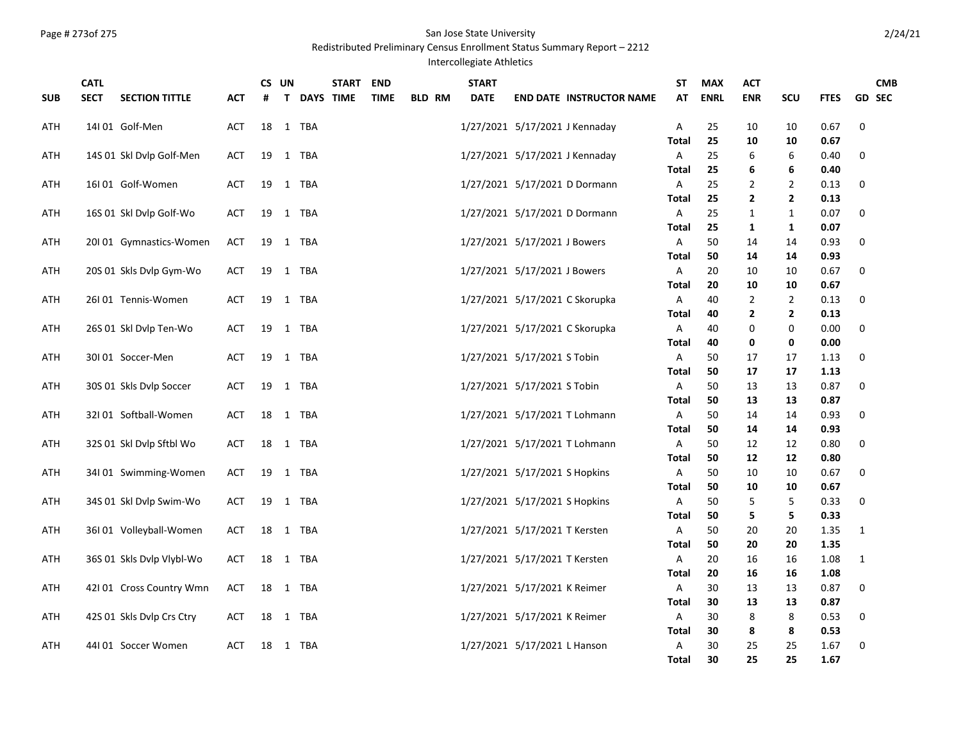# Page # 273of 275 San Jose State University

Redistributed Preliminary Census Enrollment Status Summary Report – 2212

## Intercollegiate Athletics

| <b>SUB</b> | <b>CATL</b><br><b>SECT</b> | <b>SECTION TITTLE</b>     | <b>ACT</b> | CS. | UN | <b>T DAYS TIME</b> | <b>START</b> | <b>END</b><br><b>TIME</b> | <b>BLD RM</b> | <b>START</b><br><b>DATE</b> |                                | <b>END DATE INSTRUCTOR NAME</b> | SΤ<br>AT          | <b>MAX</b><br><b>ENRL</b> | <b>ACT</b><br><b>ENR</b> | SCU            | <b>FTES</b>  |              | <b>CMB</b><br><b>GD SEC</b> |
|------------|----------------------------|---------------------------|------------|-----|----|--------------------|--------------|---------------------------|---------------|-----------------------------|--------------------------------|---------------------------------|-------------------|---------------------------|--------------------------|----------------|--------------|--------------|-----------------------------|
| ATH        |                            | 14I01 Golf-Men            | ACT        | 18  |    | 1 TBA              |              |                           |               |                             | 1/27/2021 5/17/2021 J Kennaday |                                 | Α<br><b>Total</b> | 25<br>25                  | 10<br>10                 | 10             | 0.67<br>0.67 | 0            |                             |
| ATH        |                            | 14S 01 Skl Dvlp Golf-Men  | <b>ACT</b> | 19  |    | 1 TBA              |              |                           |               |                             | 1/27/2021 5/17/2021 J Kennaday |                                 | Α                 | 25                        | 6                        | 10<br>6        | 0.40         | 0            |                             |
|            |                            |                           |            |     |    |                    |              |                           |               |                             |                                |                                 | Total             | 25                        | 6                        | 6              | 0.40         |              |                             |
| ATH        |                            | 16I01 Golf-Women          | <b>ACT</b> | 19  |    | 1 TBA              |              |                           |               |                             | 1/27/2021 5/17/2021 D Dormann  |                                 | A                 | 25                        | 2                        | 2              | 0.13         | 0            |                             |
|            |                            |                           |            |     |    |                    |              |                           |               |                             |                                |                                 | Total             | 25                        | $\mathbf{2}$             | $\mathbf{2}$   | 0.13         |              |                             |
| ATH        |                            | 16S 01 Skl Dvlp Golf-Wo   | <b>ACT</b> | 19  |    | 1 TBA              |              |                           |               |                             | 1/27/2021 5/17/2021 D Dormann  |                                 | A                 | 25                        | $\mathbf{1}$             | 1              | 0.07         | 0            |                             |
|            |                            |                           |            |     |    |                    |              |                           |               |                             |                                |                                 | Total             | 25                        | 1                        | 1              | 0.07         | 0            |                             |
| ATH        |                            | 20101 Gymnastics-Women    | <b>ACT</b> |     |    | 19 1 TBA           |              |                           |               |                             | 1/27/2021 5/17/2021 J Bowers   |                                 | A<br>Total        | 50<br>50                  | 14<br>14                 | 14<br>14       | 0.93<br>0.93 |              |                             |
| ATH        |                            | 20S 01 Skls Dvlp Gym-Wo   | <b>ACT</b> | 19  |    | 1 TBA              |              |                           |               |                             | 1/27/2021 5/17/2021 J Bowers   |                                 | A                 | 20                        | 10                       | 10             | 0.67         | 0            |                             |
|            |                            |                           |            |     |    |                    |              |                           |               |                             |                                |                                 | Total             | 20                        | 10                       | 10             | 0.67         |              |                             |
| ATH        |                            | 26101 Tennis-Women        | <b>ACT</b> | 19  |    | 1 TBA              |              |                           |               |                             | 1/27/2021 5/17/2021 C Skorupka |                                 | A                 | 40                        | $\overline{2}$           | $\overline{2}$ | 0.13         | 0            |                             |
|            |                            |                           |            |     |    |                    |              |                           |               |                             |                                |                                 | Total             | 40                        | $\mathbf{2}$             | $\mathbf{2}$   | 0.13         |              |                             |
| ATH        |                            | 26S 01 Skl Dvlp Ten-Wo    | <b>ACT</b> | 19  |    | 1 TBA              |              |                           |               |                             | 1/27/2021 5/17/2021 C Skorupka |                                 | A                 | 40                        | 0                        | 0              | 0.00         | 0            |                             |
|            |                            |                           |            |     |    |                    |              |                           |               |                             |                                |                                 | Total             | 40                        | 0                        | 0              | 0.00         |              |                             |
| ATH        |                            | 30I 01 Soccer-Men         | <b>ACT</b> | 19  |    | 1 TBA              |              |                           |               |                             | 1/27/2021 5/17/2021 S Tobin    |                                 | Α                 | 50                        | 17                       | 17             | 1.13         | 0            |                             |
|            |                            |                           |            |     |    |                    |              |                           |               |                             |                                |                                 | Total             | 50                        | 17                       | 17             | 1.13         |              |                             |
| ATH        |                            | 30S 01 Skls Dvlp Soccer   | <b>ACT</b> | 19  |    | 1 TBA              |              |                           |               |                             | 1/27/2021 5/17/2021 S Tobin    |                                 | Α                 | 50                        | 13                       | 13             | 0.87         | 0            |                             |
|            |                            |                           |            |     |    |                    |              |                           |               |                             |                                |                                 | Total             | 50                        | 13                       | 13             | 0.87         |              |                             |
| ATH        |                            | 32I 01 Softball-Women     | <b>ACT</b> | 18  |    | 1 TBA              |              |                           |               |                             | 1/27/2021 5/17/2021 T Lohmann  |                                 | A                 | 50                        | 14                       | 14             | 0.93         | 0            |                             |
|            |                            |                           |            |     |    |                    |              |                           |               |                             |                                |                                 | Total             | 50                        | 14                       | 14             | 0.93         |              |                             |
| ATH        |                            | 32S 01 Skl Dvlp Sftbl Wo  | <b>ACT</b> | 18  |    | 1 TBA              |              |                           |               |                             | 1/27/2021 5/17/2021 T Lohmann  |                                 | А                 | 50                        | 12                       | 12             | 0.80         | $\mathbf 0$  |                             |
|            |                            |                           |            |     |    |                    |              |                           |               |                             |                                |                                 | Total             | 50                        | 12                       | 12             | 0.80         |              |                             |
| ATH        |                            | 34101 Swimming-Women      | <b>ACT</b> | 19  |    | 1 TBA              |              |                           |               |                             | 1/27/2021 5/17/2021 S Hopkins  |                                 | A                 | 50                        | 10                       | 10             | 0.67         | 0            |                             |
|            |                            |                           |            |     |    |                    |              |                           |               |                             |                                |                                 | Total             | 50                        | 10                       | 10             | 0.67         |              |                             |
| ATH        |                            | 34S 01 Skl Dvlp Swim-Wo   | <b>ACT</b> | 19  |    | 1 TBA              |              |                           |               |                             | 1/27/2021 5/17/2021 S Hopkins  |                                 | Α                 | 50                        | 5                        | 5              | 0.33         | 0            |                             |
|            |                            |                           |            |     |    |                    |              |                           |               |                             |                                |                                 | Total             | 50                        | 5                        | 5              | 0.33         |              |                             |
| ATH        |                            | 36I 01 Volleyball-Women   | <b>ACT</b> | 18  |    | 1 TBA              |              |                           |               |                             | 1/27/2021 5/17/2021 T Kersten  |                                 | Α                 | 50                        | 20                       | 20             | 1.35         | $\mathbf{1}$ |                             |
|            |                            |                           |            |     |    |                    |              |                           |               |                             |                                |                                 | Total             | 50                        | 20                       | 20             | 1.35         |              |                             |
| ATH        |                            | 36S 01 Skls Dvlp Vlybl-Wo | ACT        | 18  |    | 1 TBA              |              |                           |               |                             | 1/27/2021 5/17/2021 T Kersten  |                                 | A<br>Total        | 20<br>20                  | 16<br>16                 | 16<br>16       | 1.08<br>1.08 | $\mathbf{1}$ |                             |
| ATH        |                            | 421 01 Cross Country Wmn  | <b>ACT</b> | 18  |    | 1 TBA              |              |                           |               |                             | 1/27/2021 5/17/2021 K Reimer   |                                 | A                 | 30                        | 13                       | 13             | 0.87         | 0            |                             |
|            |                            |                           |            |     |    |                    |              |                           |               |                             |                                |                                 | Total             | 30                        | 13                       | 13             | 0.87         |              |                             |
| ATH        |                            | 42S 01 Skls Dvlp Crs Ctry | <b>ACT</b> | 18  |    | 1 TBA              |              |                           |               |                             | 1/27/2021 5/17/2021 K Reimer   |                                 | А                 | 30                        | 8                        | 8              | 0.53         | 0            |                             |
|            |                            |                           |            |     |    |                    |              |                           |               |                             |                                |                                 | Total             | 30                        | 8                        | 8              | 0.53         |              |                             |
| ATH        |                            | 44I 01 Soccer Women       | ACT        |     |    | 18 1 TBA           |              |                           |               |                             | 1/27/2021 5/17/2021 L Hanson   |                                 | Α                 | 30                        | 25                       | 25             | 1.67         | 0            |                             |
|            |                            |                           |            |     |    |                    |              |                           |               |                             |                                |                                 | Total             | 30                        | 25                       | 25             | 1.67         |              |                             |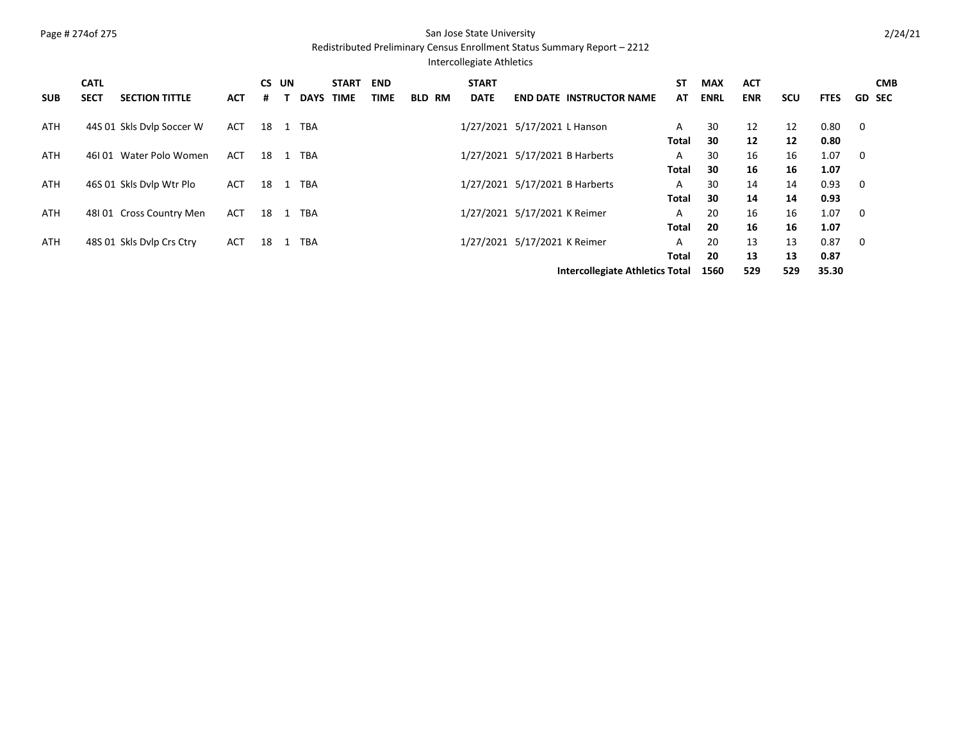# Page # 274of 275 San Jose State University

Redistributed Preliminary Census Enrollment Status Summary Report – 2212

## Intercollegiate Athletics

| <b>SUB</b> | <b>CATL</b><br><b>SECT</b> | <b>SECTION TITTLE</b>     | <b>ACT</b> | <b>CS</b><br># | UN | <b>DAYS</b> | <b>START</b><br><b>TIME</b> | <b>END</b><br><b>TIME</b> | <b>BLD RM</b> | <b>START</b><br><b>DATE</b> |                                | <b>END DATE INSTRUCTOR NAME</b>        | <b>ST</b><br>AT | <b>MAX</b><br><b>ENRL</b> | <b>ACT</b><br><b>ENR</b> | <b>SCU</b> | <b>FTES</b> | <b>CMB</b><br><b>GD SEC</b> |
|------------|----------------------------|---------------------------|------------|----------------|----|-------------|-----------------------------|---------------------------|---------------|-----------------------------|--------------------------------|----------------------------------------|-----------------|---------------------------|--------------------------|------------|-------------|-----------------------------|
|            |                            |                           |            |                |    |             |                             |                           |               |                             |                                |                                        |                 |                           |                          |            |             |                             |
| <b>ATH</b> |                            | 44S 01 Skls Dvlp Soccer W | <b>ACT</b> | 18             |    | <b>TBA</b>  |                             |                           |               |                             | 1/27/2021 5/17/2021 L Hanson   |                                        | A               | 30                        | 12                       | 12         | 0.80        | 0                           |
|            |                            |                           |            |                |    |             |                             |                           |               |                             |                                |                                        | Total           | 30                        | 12                       | 12         | 0.80        |                             |
| <b>ATH</b> |                            | 46101 Water Polo Women    | <b>ACT</b> | 18             |    | <b>TBA</b>  |                             |                           |               |                             | 1/27/2021 5/17/2021 B Harberts |                                        | A               | 30                        | 16                       | 16         | 1.07        | 0                           |
|            |                            |                           |            |                |    |             |                             |                           |               |                             |                                |                                        | Total           | 30                        | 16                       | 16         | 1.07        |                             |
| <b>ATH</b> |                            | 46S 01 Skls Dylp Wtr Plo  | <b>ACT</b> | 18             | -1 | <b>TBA</b>  |                             |                           |               |                             | 1/27/2021 5/17/2021 B Harberts |                                        | A               | 30                        | 14                       | 14         | 0.93        | 0                           |
|            |                            |                           |            |                |    |             |                             |                           |               |                             |                                |                                        | Total           | 30                        | 14                       | 14         | 0.93        |                             |
| <b>ATH</b> |                            | 48101 Cross Country Men   | <b>ACT</b> | 18             | -1 | <b>TBA</b>  |                             |                           |               |                             | 1/27/2021 5/17/2021 K Reimer   |                                        | A               | 20                        | 16                       | 16         | 1.07        | 0                           |
|            |                            |                           |            |                |    |             |                             |                           |               |                             |                                |                                        | <b>Total</b>    | 20                        | 16                       | 16         | 1.07        |                             |
| <b>ATH</b> |                            | 48S 01 Skls Dylp Crs Ctry | <b>ACT</b> | 18             |    | <b>TBA</b>  |                             |                           |               |                             | 1/27/2021 5/17/2021 K Reimer   |                                        | A               | 20                        | 13                       | 13         | 0.87        | 0                           |
|            |                            |                           |            |                |    |             |                             |                           |               |                             |                                |                                        | Total           | 20                        | 13                       | 13         | 0.87        |                             |
|            |                            |                           |            |                |    |             |                             |                           |               |                             |                                | <b>Intercollegiate Athletics Total</b> |                 | 1560                      | 529                      | 529        | 35.30       |                             |